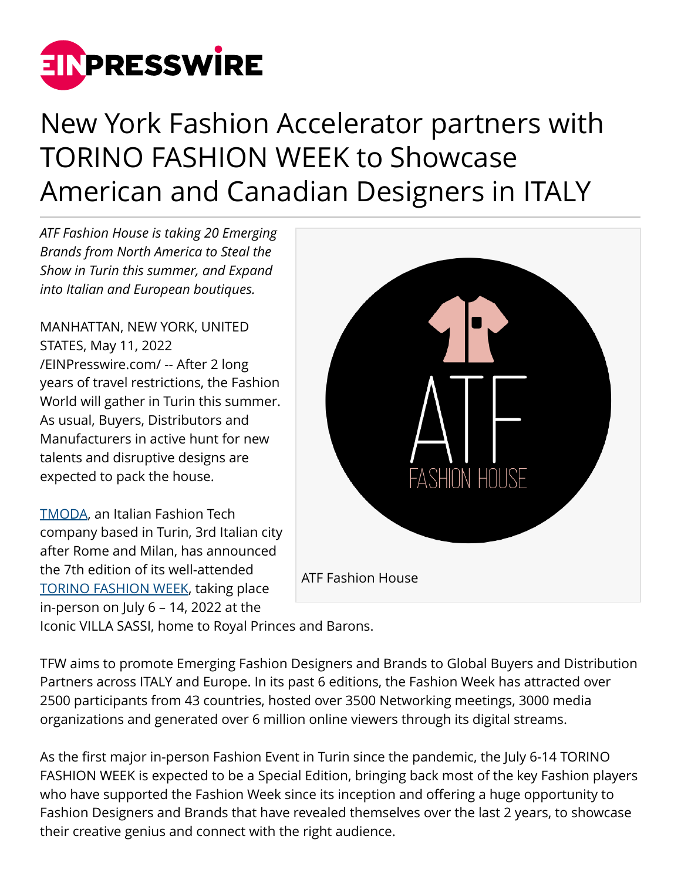

## New York Fashion Accelerator partners with TORINO FASHION WEEK to Showcase American and Canadian Designers in ITALY

*ATF Fashion House is taking 20 Emerging Brands from North America to Steal the Show in Turin this summer, and Expand into Italian and European boutiques.*

MANHATTAN, NEW YORK, UNITED STATES, May 11, 2022 [/EINPresswire.com/](http://www.einpresswire.com) -- After 2 long years of travel restrictions, the Fashion World will gather in Turin this summer. As usual, Buyers, Distributors and Manufacturers in active hunt for new talents and disruptive designs are expected to pack the house.

[TMODA,](https://appthefuture.com/fashion-house) an Italian Fashion Tech company based in Turin, 3rd Italian city after Rome and Milan, has announced the 7th edition of its well-attended [TORINO FASHION WEEK,](https://appthefuture.com/fashion-house) taking place in-person on July 6 – 14, 2022 at the



Iconic VILLA SASSI, home to Royal Princes and Barons.

TFW aims to promote Emerging Fashion Designers and Brands to Global Buyers and Distribution Partners across ITALY and Europe. In its past 6 editions, the Fashion Week has attracted over 2500 participants from 43 countries, hosted over 3500 Networking meetings, 3000 media organizations and generated over 6 million online viewers through its digital streams.

As the first major in-person Fashion Event in Turin since the pandemic, the July 6-14 TORINO FASHION WEEK is expected to be a Special Edition, bringing back most of the key Fashion players who have supported the Fashion Week since its inception and offering a huge opportunity to Fashion Designers and Brands that have revealed themselves over the last 2 years, to showcase their creative genius and connect with the right audience.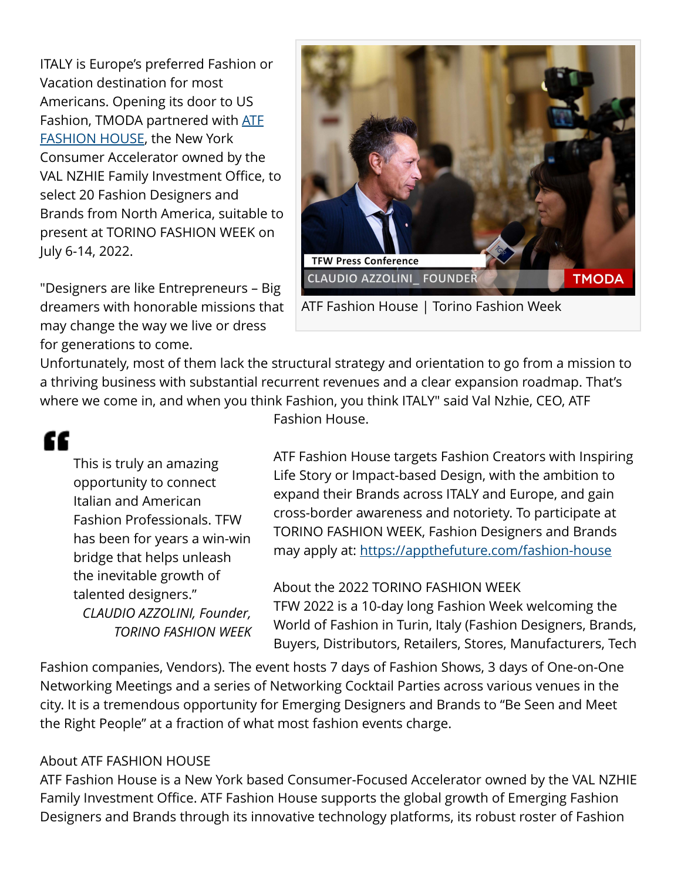ITALY is Europe's preferred Fashion or Vacation destination for most Americans. Opening its door to US Fashion, TMODA partnered with [ATF](https://appthefuture.com/fashion-house) [FASHION HOUSE,](https://appthefuture.com/fashion-house) the New York Consumer Accelerator owned by the VAL NZHIE Family Investment Office, to select 20 Fashion Designers and Brands from North America, suitable to present at TORINO FASHION WEEK on July 6-14, 2022.

"Designers are like Entrepreneurs – Big dreamers with honorable missions that may change the way we live or dress for generations to come.



ATF Fashion House | Torino Fashion Week

Unfortunately, most of them lack the structural strategy and orientation to go from a mission to a thriving business with substantial recurrent revenues and a clear expansion roadmap. That's where we come in, and when you think Fashion, you think ITALY" said Val Nzhie, CEO, ATF

## ££

This is truly an amazing opportunity to connect Italian and American Fashion Professionals. TFW has been for years a win-win bridge that helps unleash the inevitable growth of talented designers." *CLAUDIO AZZOLINI, Founder, TORINO FASHION WEEK* Fashion House.

ATF Fashion House targets Fashion Creators with Inspiring Life Story or Impact-based Design, with the ambition to expand their Brands across ITALY and Europe, and gain cross-border awareness and notoriety. To participate at TORINO FASHION WEEK, Fashion Designers and Brands may apply at: <https://appthefuture.com/fashion-house>

## About the 2022 TORINO FASHION WEEK TFW 2022 is a 10-day long Fashion Week welcoming the World of Fashion in Turin, Italy (Fashion Designers, Brands, Buyers, Distributors, Retailers, Stores, Manufacturers, Tech

Fashion companies, Vendors). The event hosts 7 days of Fashion Shows, 3 days of One-on-One Networking Meetings and a series of Networking Cocktail Parties across various venues in the city. It is a tremendous opportunity for Emerging Designers and Brands to "Be Seen and Meet the Right People" at a fraction of what most fashion events charge.

## About ATF FASHION HOUSE

ATF Fashion House is a New York based Consumer-Focused Accelerator owned by the VAL NZHIE Family Investment Office. ATF Fashion House supports the global growth of Emerging Fashion Designers and Brands through its innovative technology platforms, its robust roster of Fashion